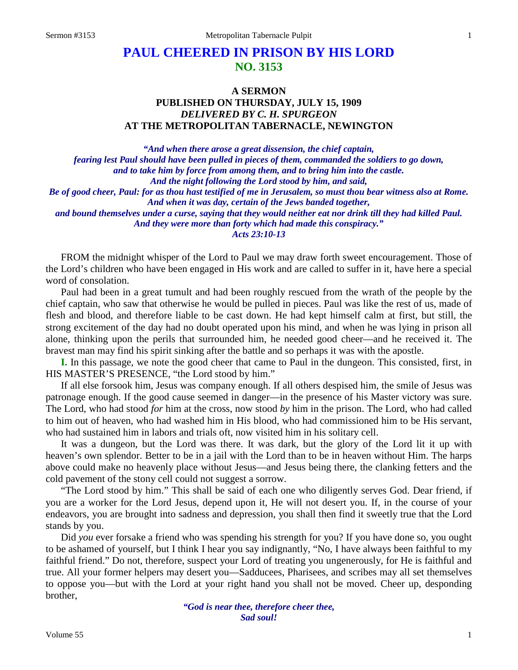# **PAUL CHEERED IN PRISON BY HIS LORD NO. 3153**

## **A SERMON PUBLISHED ON THURSDAY, JULY 15, 1909** *DELIVERED BY C. H. SPURGEON* **AT THE METROPOLITAN TABERNACLE, NEWINGTON**

*"And when there arose a great dissension, the chief captain, fearing lest Paul should have been pulled in pieces of them, commanded the soldiers to go down, and to take him by force from among them, and to bring him into the castle. And the night following the Lord stood by him, and said, Be of good cheer, Paul: for as thou hast testified of me in Jerusalem, so must thou bear witness also at Rome. And when it was day, certain of the Jews banded together, and bound themselves under a curse, saying that they would neither eat nor drink till they had killed Paul. And they were more than forty which had made this conspiracy."*

*Acts 23:10-13*

FROM the midnight whisper of the Lord to Paul we may draw forth sweet encouragement. Those of the Lord's children who have been engaged in His work and are called to suffer in it, have here a special word of consolation.

Paul had been in a great tumult and had been roughly rescued from the wrath of the people by the chief captain, who saw that otherwise he would be pulled in pieces. Paul was like the rest of us, made of flesh and blood, and therefore liable to be cast down. He had kept himself calm at first, but still, the strong excitement of the day had no doubt operated upon his mind, and when he was lying in prison all alone, thinking upon the perils that surrounded him, he needed good cheer—and he received it. The bravest man may find his spirit sinking after the battle and so perhaps it was with the apostle.

**I.** In this passage, we note the good cheer that came to Paul in the dungeon. This consisted, first, in HIS MASTER'S PRESENCE, "the Lord stood by him."

If all else forsook him, Jesus was company enough. If all others despised him, the smile of Jesus was patronage enough. If the good cause seemed in danger—in the presence of his Master victory was sure. The Lord, who had stood *for* him at the cross, now stood *by* him in the prison. The Lord, who had called to him out of heaven, who had washed him in His blood, who had commissioned him to be His servant, who had sustained him in labors and trials oft, now visited him in his solitary cell.

It was a dungeon, but the Lord was there. It was dark, but the glory of the Lord lit it up with heaven's own splendor. Better to be in a jail with the Lord than to be in heaven without Him. The harps above could make no heavenly place without Jesus—and Jesus being there, the clanking fetters and the cold pavement of the stony cell could not suggest a sorrow.

"The Lord stood by him." This shall be said of each one who diligently serves God. Dear friend, if you are a worker for the Lord Jesus, depend upon it, He will not desert you. If, in the course of your endeavors, you are brought into sadness and depression, you shall then find it sweetly true that the Lord stands by you.

Did *you* ever forsake a friend who was spending his strength for you? If you have done so, you ought to be ashamed of yourself, but I think I hear you say indignantly, "No, I have always been faithful to my faithful friend." Do not, therefore, suspect your Lord of treating you ungenerously, for He is faithful and true. All your former helpers may desert you—Sadducees, Pharisees, and scribes may all set themselves to oppose you—but with the Lord at your right hand you shall not be moved. Cheer up, desponding brother,

> *"God is near thee, therefore cheer thee, Sad soul!*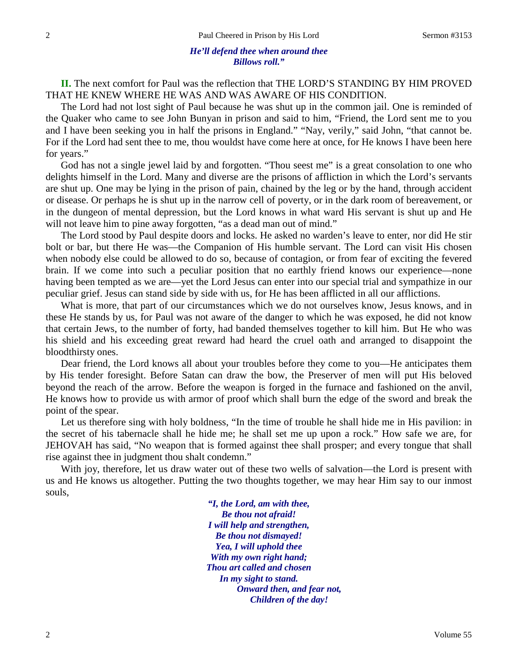#### *He'll defend thee when around thee Billows roll."*

**II.** The next comfort for Paul was the reflection that THE LORD'S STANDING BY HIM PROVED THAT HE KNEW WHERE HE WAS AND WAS AWARE OF HIS CONDITION.

The Lord had not lost sight of Paul because he was shut up in the common jail. One is reminded of the Quaker who came to see John Bunyan in prison and said to him, "Friend, the Lord sent me to you and I have been seeking you in half the prisons in England." "Nay, verily," said John, "that cannot be. For if the Lord had sent thee to me, thou wouldst have come here at once, for He knows I have been here for years."

God has not a single jewel laid by and forgotten. "Thou seest me" is a great consolation to one who delights himself in the Lord. Many and diverse are the prisons of affliction in which the Lord's servants are shut up. One may be lying in the prison of pain, chained by the leg or by the hand, through accident or disease. Or perhaps he is shut up in the narrow cell of poverty, or in the dark room of bereavement, or in the dungeon of mental depression, but the Lord knows in what ward His servant is shut up and He will not leave him to pine away forgotten, "as a dead man out of mind."

The Lord stood by Paul despite doors and locks. He asked no warden's leave to enter, nor did He stir bolt or bar, but there He was—the Companion of His humble servant. The Lord can visit His chosen when nobody else could be allowed to do so, because of contagion, or from fear of exciting the fevered brain. If we come into such a peculiar position that no earthly friend knows our experience—none having been tempted as we are—yet the Lord Jesus can enter into our special trial and sympathize in our peculiar grief. Jesus can stand side by side with us, for He has been afflicted in all our afflictions.

What is more, that part of our circumstances which we do not ourselves know, Jesus knows, and in these He stands by us, for Paul was not aware of the danger to which he was exposed, he did not know that certain Jews, to the number of forty, had banded themselves together to kill him. But He who was his shield and his exceeding great reward had heard the cruel oath and arranged to disappoint the bloodthirsty ones.

Dear friend, the Lord knows all about your troubles before they come to you—He anticipates them by His tender foresight. Before Satan can draw the bow, the Preserver of men will put His beloved beyond the reach of the arrow. Before the weapon is forged in the furnace and fashioned on the anvil, He knows how to provide us with armor of proof which shall burn the edge of the sword and break the point of the spear.

Let us therefore sing with holy boldness, "In the time of trouble he shall hide me in His pavilion: in the secret of his tabernacle shall he hide me; he shall set me up upon a rock." How safe we are, for JEHOVAH has said, "No weapon that is formed against thee shall prosper; and every tongue that shall rise against thee in judgment thou shalt condemn."

With joy, therefore, let us draw water out of these two wells of salvation—the Lord is present with us and He knows us altogether. Putting the two thoughts together, we may hear Him say to our inmost souls,

> *"I, the Lord, am with thee, Be thou not afraid! I will help and strengthen, Be thou not dismayed! Yea, I will uphold thee With my own right hand; Thou art called and chosen In my sight to stand. Onward then, and fear not, Children of the day!*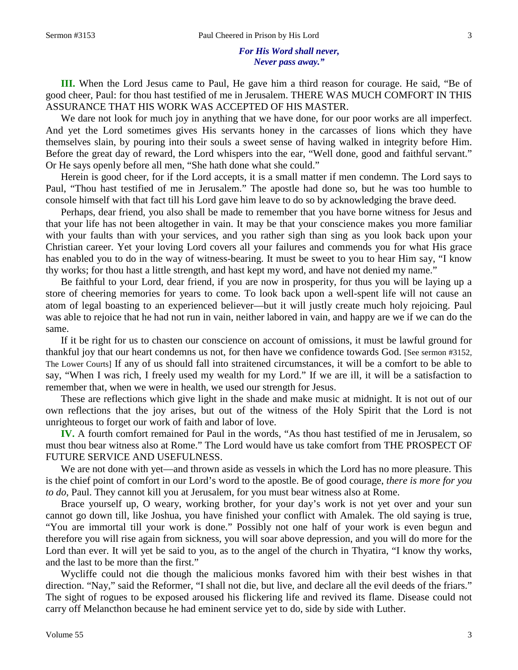**III.** When the Lord Jesus came to Paul, He gave him a third reason for courage. He said, "Be of good cheer, Paul: for thou hast testified of me in Jerusalem. THERE WAS MUCH COMFORT IN THIS ASSURANCE THAT HIS WORK WAS ACCEPTED OF HIS MASTER.

We dare not look for much joy in anything that we have done, for our poor works are all imperfect. And yet the Lord sometimes gives His servants honey in the carcasses of lions which they have themselves slain, by pouring into their souls a sweet sense of having walked in integrity before Him. Before the great day of reward, the Lord whispers into the ear, "Well done, good and faithful servant." Or He says openly before all men, "She hath done what she could."

Herein is good cheer, for if the Lord accepts, it is a small matter if men condemn. The Lord says to Paul, "Thou hast testified of me in Jerusalem." The apostle had done so, but he was too humble to console himself with that fact till his Lord gave him leave to do so by acknowledging the brave deed.

Perhaps, dear friend, you also shall be made to remember that you have borne witness for Jesus and that your life has not been altogether in vain. It may be that your conscience makes you more familiar with your faults than with your services, and you rather sigh than sing as you look back upon your Christian career. Yet your loving Lord covers all your failures and commends you for what His grace has enabled you to do in the way of witness-bearing. It must be sweet to you to hear Him say, "I know thy works; for thou hast a little strength, and hast kept my word, and have not denied my name."

Be faithful to your Lord, dear friend, if you are now in prosperity, for thus you will be laying up a store of cheering memories for years to come. To look back upon a well-spent life will not cause an atom of legal boasting to an experienced believer—but it will justly create much holy rejoicing. Paul was able to rejoice that he had not run in vain, neither labored in vain, and happy are we if we can do the same.

If it be right for us to chasten our conscience on account of omissions, it must be lawful ground for thankful joy that our heart condemns us not, for then have we confidence towards God. [See sermon #3152, The Lower Courts] If any of us should fall into straitened circumstances, it will be a comfort to be able to say, "When I was rich, I freely used my wealth for my Lord." If we are ill, it will be a satisfaction to remember that, when we were in health, we used our strength for Jesus.

These are reflections which give light in the shade and make music at midnight. It is not out of our own reflections that the joy arises, but out of the witness of the Holy Spirit that the Lord is not unrighteous to forget our work of faith and labor of love.

**IV.** A fourth comfort remained for Paul in the words, "As thou hast testified of me in Jerusalem, so must thou bear witness also at Rome." The Lord would have us take comfort from THE PROSPECT OF FUTURE SERVICE AND USEFULNESS.

We are not done with yet—and thrown aside as vessels in which the Lord has no more pleasure. This is the chief point of comfort in our Lord's word to the apostle. Be of good courage, *there is more for you to do*, Paul. They cannot kill you at Jerusalem, for you must bear witness also at Rome.

Brace yourself up, O weary, working brother, for your day's work is not yet over and your sun cannot go down till, like Joshua, you have finished your conflict with Amalek. The old saying is true, "You are immortal till your work is done." Possibly not one half of your work is even begun and therefore you will rise again from sickness, you will soar above depression, and you will do more for the Lord than ever. It will yet be said to you, as to the angel of the church in Thyatira, "I know thy works, and the last to be more than the first."

Wycliffe could not die though the malicious monks favored him with their best wishes in that direction. "Nay," said the Reformer, "I shall not die, but live, and declare all the evil deeds of the friars." The sight of rogues to be exposed aroused his flickering life and revived its flame. Disease could not carry off Melancthon because he had eminent service yet to do, side by side with Luther.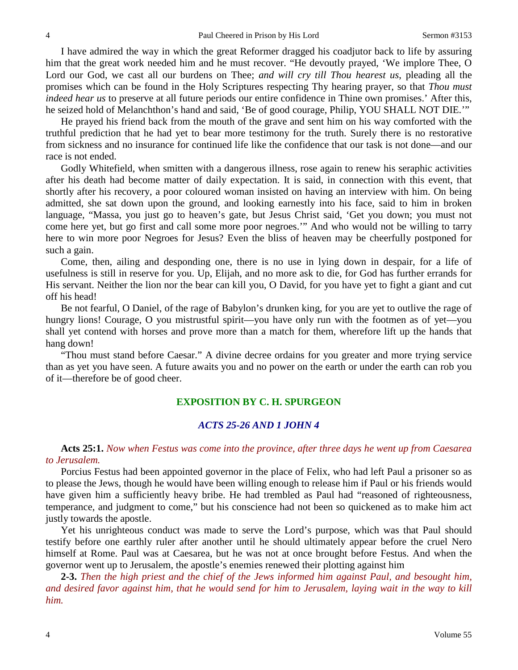I have admired the way in which the great Reformer dragged his coadjutor back to life by assuring him that the great work needed him and he must recover. "He devoutly prayed, 'We implore Thee, O Lord our God, we cast all our burdens on Thee; *and will cry till Thou hearest us*, pleading all the promises which can be found in the Holy Scriptures respecting Thy hearing prayer, so that *Thou must indeed hear us* to preserve at all future periods our entire confidence in Thine own promises.' After this, he seized hold of Melanchthon's hand and said, 'Be of good courage, Philip, YOU SHALL NOT DIE.'"

He prayed his friend back from the mouth of the grave and sent him on his way comforted with the truthful prediction that he had yet to bear more testimony for the truth. Surely there is no restorative from sickness and no insurance for continued life like the confidence that our task is not done—and our race is not ended.

Godly Whitefield, when smitten with a dangerous illness, rose again to renew his seraphic activities after his death had become matter of daily expectation. It is said, in connection with this event, that shortly after his recovery, a poor coloured woman insisted on having an interview with him. On being admitted, she sat down upon the ground, and looking earnestly into his face, said to him in broken language, "Massa, you just go to heaven's gate, but Jesus Christ said, 'Get you down; you must not come here yet, but go first and call some more poor negroes.'" And who would not be willing to tarry here to win more poor Negroes for Jesus? Even the bliss of heaven may be cheerfully postponed for such a gain.

Come, then, ailing and desponding one, there is no use in lying down in despair, for a life of usefulness is still in reserve for you. Up, Elijah, and no more ask to die, for God has further errands for His servant. Neither the lion nor the bear can kill you, O David, for you have yet to fight a giant and cut off his head!

Be not fearful, O Daniel, of the rage of Babylon's drunken king, for you are yet to outlive the rage of hungry lions! Courage, O you mistrustful spirit—you have only run with the footmen as of yet—you shall yet contend with horses and prove more than a match for them, wherefore lift up the hands that hang down!

"Thou must stand before Caesar." A divine decree ordains for you greater and more trying service than as yet you have seen. A future awaits you and no power on the earth or under the earth can rob you of it—therefore be of good cheer.

### **EXPOSITION BY C. H. SPURGEON**

### *ACTS 25-26 AND 1 JOHN 4*

#### **Acts 25:1.** *Now when Festus was come into the province, after three days he went up from Caesarea to Jerusalem.*

Porcius Festus had been appointed governor in the place of Felix, who had left Paul a prisoner so as to please the Jews, though he would have been willing enough to release him if Paul or his friends would have given him a sufficiently heavy bribe. He had trembled as Paul had "reasoned of righteousness, temperance, and judgment to come," but his conscience had not been so quickened as to make him act justly towards the apostle.

Yet his unrighteous conduct was made to serve the Lord's purpose, which was that Paul should testify before one earthly ruler after another until he should ultimately appear before the cruel Nero himself at Rome. Paul was at Caesarea, but he was not at once brought before Festus. And when the governor went up to Jerusalem, the apostle's enemies renewed their plotting against him

**2-3.** *Then the high priest and the chief of the Jews informed him against Paul, and besought him, and desired favor against him, that he would send for him to Jerusalem, laying wait in the way to kill him.*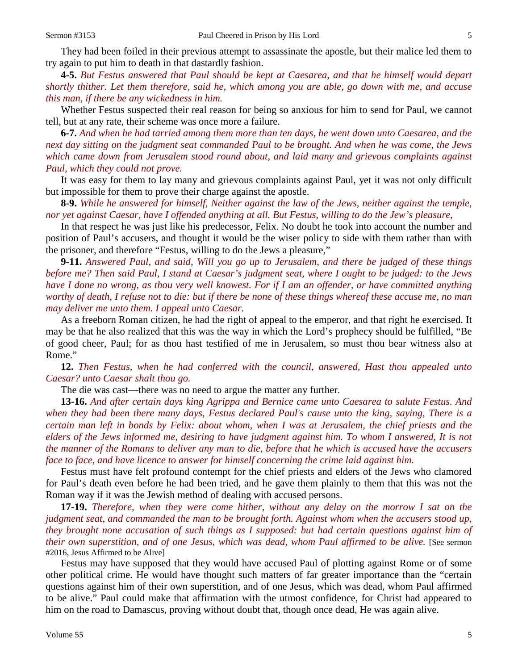**4-5.** *But Festus answered that Paul should be kept at Caesarea, and that he himself would depart shortly thither. Let them therefore, said he, which among you are able, go down with me, and accuse this man, if there be any wickedness in him.* 

Whether Festus suspected their real reason for being so anxious for him to send for Paul, we cannot tell, but at any rate, their scheme was once more a failure.

**6-7.** *And when he had tarried among them more than ten days, he went down unto Caesarea, and the next day sitting on the judgment seat commanded Paul to be brought. And when he was come, the Jews which came down from Jerusalem stood round about, and laid many and grievous complaints against Paul, which they could not prove.* 

It was easy for them to lay many and grievous complaints against Paul, yet it was not only difficult but impossible for them to prove their charge against the apostle.

**8-9.** *While he answered for himself, Neither against the law of the Jews, neither against the temple, nor yet against Caesar, have I offended anything at all. But Festus, willing to do the Jew's pleasure,*

In that respect he was just like his predecessor, Felix. No doubt he took into account the number and position of Paul's accusers, and thought it would be the wiser policy to side with them rather than with the prisoner, and therefore "Festus, willing to do the Jews a pleasure,"

**9-11.** *Answered Paul, and said, Will you go up to Jerusalem, and there be judged of these things before me? Then said Paul, I stand at Caesar's judgment seat, where I ought to be judged: to the Jews have I done no wrong, as thou very well knowest. For if I am an offender, or have committed anything worthy of death, I refuse not to die: but if there be none of these things whereof these accuse me, no man may deliver me unto them. I appeal unto Caesar.* 

As a freeborn Roman citizen, he had the right of appeal to the emperor, and that right he exercised. It may be that he also realized that this was the way in which the Lord's prophecy should be fulfilled, "Be of good cheer, Paul; for as thou hast testified of me in Jerusalem, so must thou bear witness also at Rome."

**12.** *Then Festus, when he had conferred with the council, answered, Hast thou appealed unto Caesar? unto Caesar shalt thou go.*

The die was cast—there was no need to argue the matter any further.

**13-16.** *And after certain days king Agrippa and Bernice came unto Caesarea to salute Festus. And when they had been there many days, Festus declared Paul's cause unto the king, saying, There is a certain man left in bonds by Felix: about whom, when I was at Jerusalem, the chief priests and the elders of the Jews informed me, desiring to have judgment against him. To whom I answered, It is not the manner of the Romans to deliver any man to die, before that he which is accused have the accusers face to face, and have licence to answer for himself concerning the crime laid against him.*

Festus must have felt profound contempt for the chief priests and elders of the Jews who clamored for Paul's death even before he had been tried, and he gave them plainly to them that this was not the Roman way if it was the Jewish method of dealing with accused persons.

**17-19.** *Therefore, when they were come hither, without any delay on the morrow I sat on the judgment seat, and commanded the man to be brought forth. Against whom when the accusers stood up, they brought none accusation of such things as I supposed: but had certain questions against him of their own superstition, and of one Jesus, which was dead, whom Paul affirmed to be alive.* [See sermon #2016, Jesus Affirmed to be Alive]

Festus may have supposed that they would have accused Paul of plotting against Rome or of some other political crime. He would have thought such matters of far greater importance than the "certain questions against him of their own superstition, and of one Jesus, which was dead, whom Paul affirmed to be alive." Paul could make that affirmation with the utmost confidence, for Christ had appeared to him on the road to Damascus, proving without doubt that, though once dead, He was again alive.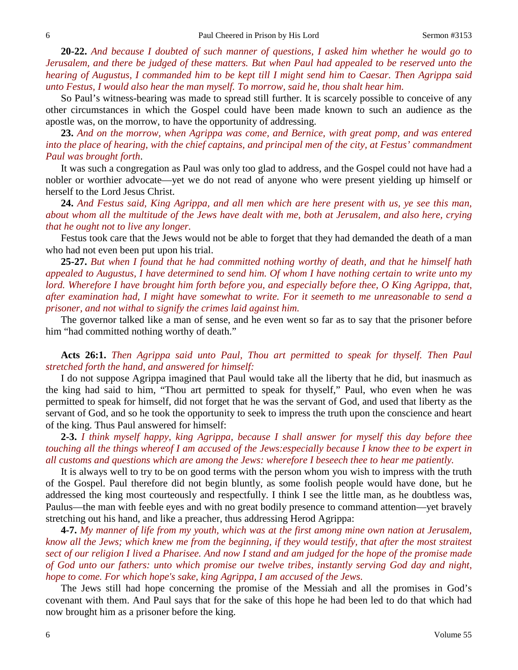**20-22.** *And because I doubted of such manner of questions, I asked him whether he would go to Jerusalem, and there be judged of these matters. But when Paul had appealed to be reserved unto the hearing of Augustus, I commanded him to be kept till I might send him to Caesar. Then Agrippa said unto Festus, I would also hear the man myself. To morrow, said he, thou shalt hear him.*

So Paul's witness-bearing was made to spread still further. It is scarcely possible to conceive of any other circumstances in which the Gospel could have been made known to such an audience as the apostle was, on the morrow, to have the opportunity of addressing.

**23.** *And on the morrow, when Agrippa was come, and Bernice, with great pomp, and was entered into the place of hearing, with the chief captains, and principal men of the city, at Festus' commandment Paul was brought forth*.

It was such a congregation as Paul was only too glad to address, and the Gospel could not have had a nobler or worthier advocate—yet we do not read of anyone who were present yielding up himself or herself to the Lord Jesus Christ.

**24.** *And Festus said, King Agrippa, and all men which are here present with us, ye see this man, about whom all the multitude of the Jews have dealt with me, both at Jerusalem, and also here, crying that he ought not to live any longer.*

Festus took care that the Jews would not be able to forget that they had demanded the death of a man who had not even been put upon his trial.

**25-27.** *But when I found that he had committed nothing worthy of death, and that he himself hath appealed to Augustus, I have determined to send him. Of whom I have nothing certain to write unto my lord. Wherefore I have brought him forth before you, and especially before thee, O King Agrippa, that, after examination had, I might have somewhat to write. For it seemeth to me unreasonable to send a prisoner, and not withal to signify the crimes laid against him.* 

The governor talked like a man of sense, and he even went so far as to say that the prisoner before him "had committed nothing worthy of death."

**Acts 26:1.** *Then Agrippa said unto Paul, Thou art permitted to speak for thyself. Then Paul stretched forth the hand, and answered for himself:*

I do not suppose Agrippa imagined that Paul would take all the liberty that he did, but inasmuch as the king had said to him, "Thou art permitted to speak for thyself," Paul, who even when he was permitted to speak for himself, did not forget that he was the servant of God, and used that liberty as the servant of God, and so he took the opportunity to seek to impress the truth upon the conscience and heart of the king. Thus Paul answered for himself:

**2-3.** *I think myself happy, king Agrippa, because I shall answer for myself this day before thee touching all the things whereof I am accused of the Jews:especially because I know thee to be expert in all customs and questions which are among the Jews: wherefore I beseech thee to hear me patiently.*

It is always well to try to be on good terms with the person whom you wish to impress with the truth of the Gospel. Paul therefore did not begin bluntly, as some foolish people would have done, but he addressed the king most courteously and respectfully. I think I see the little man, as he doubtless was, Paulus—the man with feeble eyes and with no great bodily presence to command attention—yet bravely stretching out his hand, and like a preacher, thus addressing Herod Agrippa:

**4-7.** *My manner of life from my youth, which was at the first among mine own nation at Jerusalem, know all the Jews; which knew me from the beginning, if they would testify, that after the most straitest sect of our religion I lived a Pharisee. And now I stand and am judged for the hope of the promise made of God unto our fathers: unto which promise our twelve tribes, instantly serving God day and night, hope to come. For which hope's sake, king Agrippa, I am accused of the Jews.*

The Jews still had hope concerning the promise of the Messiah and all the promises in God's covenant with them. And Paul says that for the sake of this hope he had been led to do that which had now brought him as a prisoner before the king.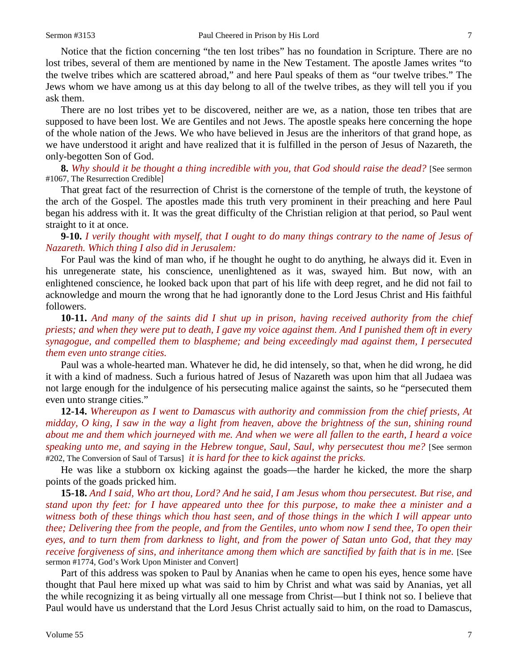Notice that the fiction concerning "the ten lost tribes" has no foundation in Scripture. There are no lost tribes, several of them are mentioned by name in the New Testament. The apostle James writes "to the twelve tribes which are scattered abroad," and here Paul speaks of them as "our twelve tribes." The Jews whom we have among us at this day belong to all of the twelve tribes, as they will tell you if you ask them.

There are no lost tribes yet to be discovered, neither are we, as a nation, those ten tribes that are supposed to have been lost. We are Gentiles and not Jews. The apostle speaks here concerning the hope of the whole nation of the Jews. We who have believed in Jesus are the inheritors of that grand hope, as we have understood it aright and have realized that it is fulfilled in the person of Jesus of Nazareth, the only-begotten Son of God.

**8.** *Why should it be thought a thing incredible with you, that God should raise the dead?* [See sermon #1067, The Resurrection Credible]

That great fact of the resurrection of Christ is the cornerstone of the temple of truth, the keystone of the arch of the Gospel. The apostles made this truth very prominent in their preaching and here Paul began his address with it. It was the great difficulty of the Christian religion at that period, so Paul went straight to it at once.

**9-10.** *I verily thought with myself, that I ought to do many things contrary to the name of Jesus of Nazareth. Which thing I also did in Jerusalem:*

For Paul was the kind of man who, if he thought he ought to do anything, he always did it. Even in his unregenerate state, his conscience, unenlightened as it was, swayed him. But now, with an enlightened conscience, he looked back upon that part of his life with deep regret, and he did not fail to acknowledge and mourn the wrong that he had ignorantly done to the Lord Jesus Christ and His faithful followers.

**10-11.** *And many of the saints did I shut up in prison, having received authority from the chief priests; and when they were put to death, I gave my voice against them. And I punished them oft in every synagogue, and compelled them to blaspheme; and being exceedingly mad against them, I persecuted them even unto strange cities.*

Paul was a whole-hearted man. Whatever he did, he did intensely, so that, when he did wrong, he did it with a kind of madness. Such a furious hatred of Jesus of Nazareth was upon him that all Judaea was not large enough for the indulgence of his persecuting malice against the saints, so he "persecuted them even unto strange cities."

**12-14.** *Whereupon as I went to Damascus with authority and commission from the chief priests, At midday, O king, I saw in the way a light from heaven, above the brightness of the sun, shining round about me and them which journeyed with me. And when we were all fallen to the earth, I heard a voice speaking unto me, and saying in the Hebrew tongue, Saul, Saul, why persecutest thou me?* [See sermon #202, The Conversion of Saul of Tarsus] *it is hard for thee to kick against the pricks.*

He was like a stubborn ox kicking against the goads—the harder he kicked, the more the sharp points of the goads pricked him.

**15-18.** *And I said, Who art thou, Lord? And he said, I am Jesus whom thou persecutest. But rise, and stand upon thy feet: for I have appeared unto thee for this purpose, to make thee a minister and a witness both of these things which thou hast seen, and of those things in the which I will appear unto thee; Delivering thee from the people, and from the Gentiles, unto whom now I send thee, To open their eyes, and to turn them from darkness to light, and from the power of Satan unto God, that they may receive forgiveness of sins, and inheritance among them which are sanctified by faith that is in me.* [See sermon #1774, God's Work Upon Minister and Convert]

Part of this address was spoken to Paul by Ananias when he came to open his eyes, hence some have thought that Paul here mixed up what was said to him by Christ and what was said by Ananias, yet all the while recognizing it as being virtually all one message from Christ—but I think not so. I believe that Paul would have us understand that the Lord Jesus Christ actually said to him, on the road to Damascus,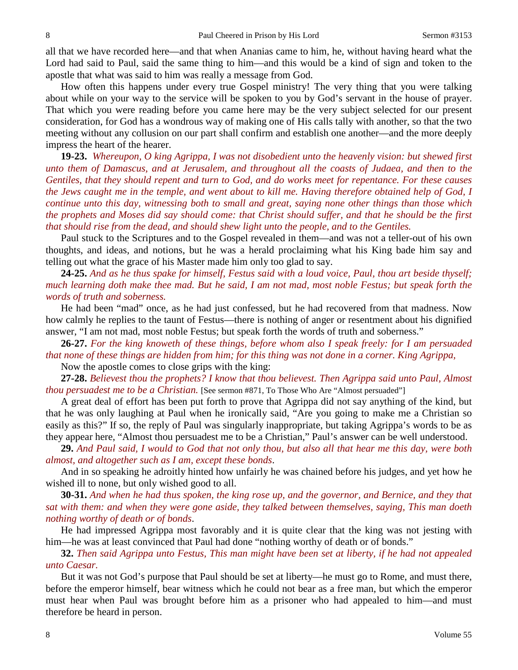all that we have recorded here—and that when Ananias came to him, he, without having heard what the Lord had said to Paul, said the same thing to him—and this would be a kind of sign and token to the apostle that what was said to him was really a message from God.

How often this happens under every true Gospel ministry! The very thing that you were talking about while on your way to the service will be spoken to you by God's servant in the house of prayer. That which you were reading before you came here may be the very subject selected for our present consideration, for God has a wondrous way of making one of His calls tally with another, so that the two meeting without any collusion on our part shall confirm and establish one another—and the more deeply impress the heart of the hearer.

**19-23.** *Whereupon, O king Agrippa, I was not disobedient unto the heavenly vision: but shewed first unto them of Damascus, and at Jerusalem, and throughout all the coasts of Judaea, and then to the Gentiles, that they should repent and turn to God, and do works meet for repentance. For these causes the Jews caught me in the temple, and went about to kill me. Having therefore obtained help of God, I continue unto this day, witnessing both to small and great, saying none other things than those which the prophets and Moses did say should come: that Christ should suffer, and that he should be the first that should rise from the dead, and should shew light unto the people, and to the Gentiles.*

Paul stuck to the Scriptures and to the Gospel revealed in them—and was not a teller-out of his own thoughts, and ideas, and notions, but he was a herald proclaiming what his King bade him say and telling out what the grace of his Master made him only too glad to say.

**24-25.** *And as he thus spake for himself, Festus said with a loud voice, Paul, thou art beside thyself; much learning doth make thee mad. But he said, I am not mad, most noble Festus; but speak forth the words of truth and soberness.*

He had been "mad" once, as he had just confessed, but he had recovered from that madness. Now how calmly he replies to the taunt of Festus—there is nothing of anger or resentment about his dignified answer, "I am not mad, most noble Festus; but speak forth the words of truth and soberness."

**26-27.** *For the king knoweth of these things, before whom also I speak freely: for I am persuaded that none of these things are hidden from him; for this thing was not done in a corner. King Agrippa,* 

Now the apostle comes to close grips with the king:

**27-28.** *Believest thou the prophets? I know that thou believest. Then Agrippa said unto Paul, Almost thou persuadest me to be a Christian*. [See sermon #871, To Those Who Are "Almost persuaded"]

A great deal of effort has been put forth to prove that Agrippa did not say anything of the kind, but that he was only laughing at Paul when he ironically said, "Are you going to make me a Christian so easily as this?" If so, the reply of Paul was singularly inappropriate, but taking Agrippa's words to be as they appear here, "Almost thou persuadest me to be a Christian," Paul's answer can be well understood.

**29.** *And Paul said, I would to God that not only thou, but also all that hear me this day, were both almost, and altogether such as I am, except these bonds*.

And in so speaking he adroitly hinted how unfairly he was chained before his judges, and yet how he wished ill to none, but only wished good to all.

**30-31.** *And when he had thus spoken, the king rose up, and the governor, and Bernice, and they that sat with them: and when they were gone aside, they talked between themselves, saying, This man doeth nothing worthy of death or of bonds*.

He had impressed Agrippa most favorably and it is quite clear that the king was not jesting with him—he was at least convinced that Paul had done "nothing worthy of death or of bonds."

**32.** *Then said Agrippa unto Festus, This man might have been set at liberty, if he had not appealed unto Caesar.*

But it was not God's purpose that Paul should be set at liberty—he must go to Rome, and must there, before the emperor himself, bear witness which he could not bear as a free man, but which the emperor must hear when Paul was brought before him as a prisoner who had appealed to him—and must therefore be heard in person.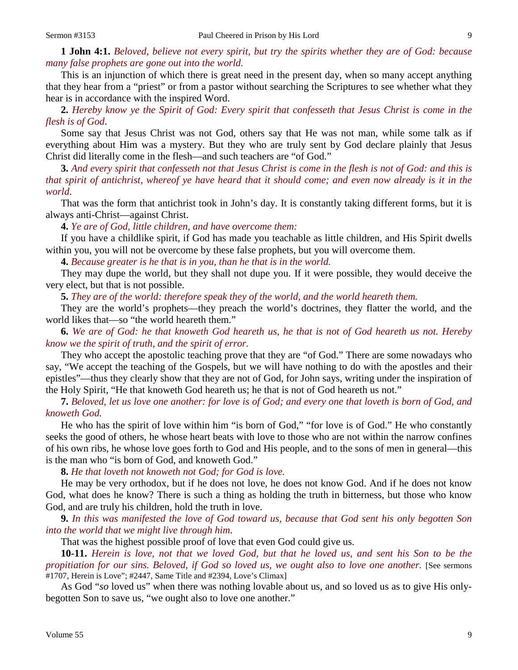**1 John 4:1.** *Beloved, believe not every spirit, but try the spirits whether they are of God: because many false prophets are gone out into the world.* 

This is an injunction of which there is great need in the present day, when so many accept anything that they hear from a "priest" or from a pastor without searching the Scriptures to see whether what they hear is in accordance with the inspired Word.

**2.** *Hereby know ye the Spirit of God: Every spirit that confesseth that Jesus Christ is come in the flesh is of God*.

Some say that Jesus Christ was not God, others say that He was not man, while some talk as if everything about Him was a mystery. But they who are truly sent by God declare plainly that Jesus Christ did literally come in the flesh—and such teachers are "of God."

**3.** *And every spirit that confesseth not that Jesus Christ is come in the flesh is not of God: and this is that spirit of antichrist, whereof ye have heard that it should come; and even now already is it in the world*.

That was the form that antichrist took in John's day. It is constantly taking different forms, but it is always anti-Christ—against Christ.

**4.** *Ye are of God, little children, and have overcome them:*

If you have a childlike spirit, if God has made you teachable as little children, and His Spirit dwells within you, you will not be overcome by these false prophets, but you will overcome them.

**4.** *Because greater is he that is in you, than he that is in the world.*

They may dupe the world, but they shall not dupe you. If it were possible, they would deceive the very elect, but that is not possible.

**5.** *They are of the world: therefore speak they of the world, and the world heareth them.*

They are the world's prophets—they preach the world's doctrines, they flatter the world, and the world likes that—so "the world heareth them."

**6.** *We are of God: he that knoweth God heareth us, he that is not of God heareth us not. Hereby know we the spirit of truth, and the spirit of error.*

They who accept the apostolic teaching prove that they are "of God." There are some nowadays who say, "We accept the teaching of the Gospels, but we will have nothing to do with the apostles and their epistles"—thus they clearly show that they are not of God, for John says, writing under the inspiration of the Holy Spirit, "He that knoweth God heareth us; he that is not of God heareth us not."

**7.** *Beloved, let us love one another: for love is of God; and every one that loveth is born of God, and knoweth God.* 

He who has the spirit of love within him "is born of God," "for love is of God." He who constantly seeks the good of others, he whose heart beats with love to those who are not within the narrow confines of his own ribs, he whose love goes forth to God and His people, and to the sons of men in general—this is the man who "is born of God, and knoweth God."

**8.** *He that loveth not knoweth not God; for God is love.* 

He may be very orthodox, but if he does not love, he does not know God. And if he does not know God, what does he know? There is such a thing as holding the truth in bitterness, but those who know God, and are truly his children, hold the truth in love.

**9.** *In this was manifested the love of God toward us, because that God sent his only begotten Son into the world that we might live through him*.

That was the highest possible proof of love that even God could give us.

**10-11.** *Herein is love, not that we loved God, but that he loved us, and sent his Son to be the propitiation for our sins. Beloved, if God so loved us, we ought also to love one another.* [See sermons #1707, Herein is Love"; #2447, Same Title and #2394, Love's Climax]

As God "*so* loved us" when there was nothing lovable about us, and so loved us as to give His onlybegotten Son to save us, "we ought also to love one another."